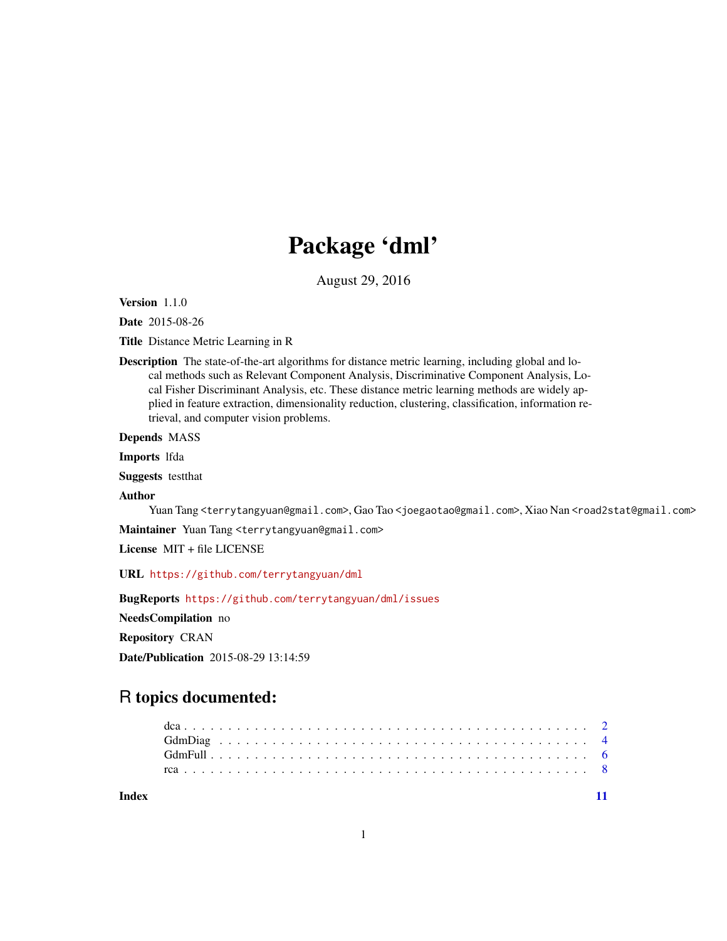## Package 'dml'

August 29, 2016

Version 1.1.0

Date 2015-08-26

Title Distance Metric Learning in R

Description The state-of-the-art algorithms for distance metric learning, including global and local methods such as Relevant Component Analysis, Discriminative Component Analysis, Local Fisher Discriminant Analysis, etc. These distance metric learning methods are widely applied in feature extraction, dimensionality reduction, clustering, classification, information retrieval, and computer vision problems.

Depends MASS

Imports lfda

Suggests testthat

#### Author

Yuan Tang <terrytangyuan@gmail.com>, Gao Tao <joegaotao@gmail.com>, Xiao Nan <road2stat@gmail.com>

Maintainer Yuan Tang <terrytangyuan@gmail.com>

License MIT + file LICENSE

URL <https://github.com/terrytangyuan/dml>

BugReports <https://github.com/terrytangyuan/dml/issues>

NeedsCompilation no

Repository CRAN

Date/Publication 2015-08-29 13:14:59

## R topics documented:

**Index** [11](#page-10-0)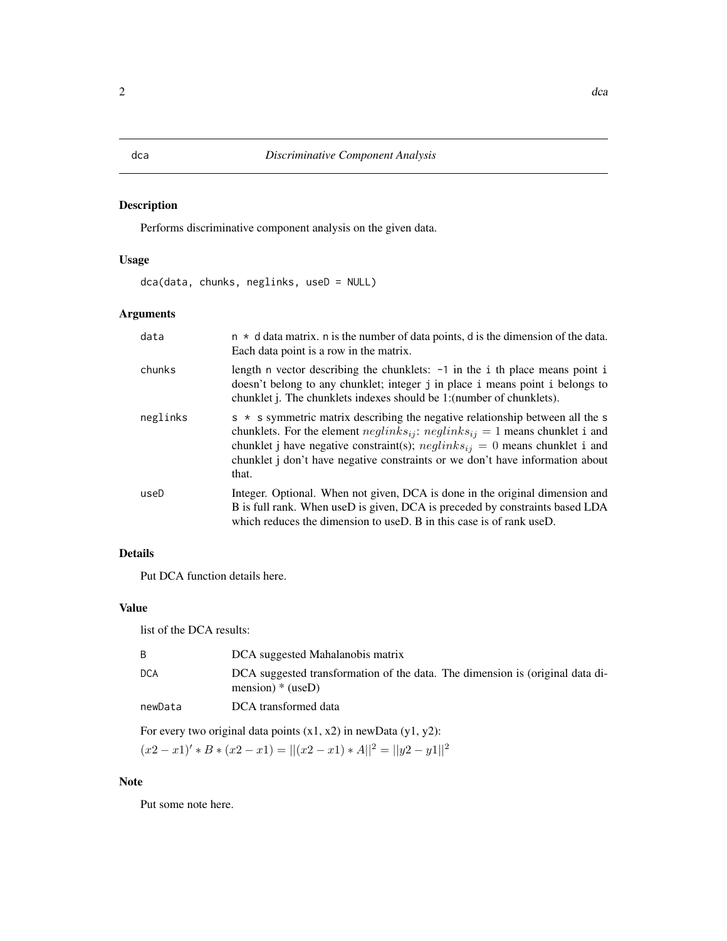### <span id="page-1-1"></span><span id="page-1-0"></span>Description

Performs discriminative component analysis on the given data.

#### Usage

dca(data, chunks, neglinks, useD = NULL)

#### Arguments

| data     | $n * d$ data matrix. n is the number of data points, d is the dimension of the data.<br>Each data point is a row in the matrix.                                                                                                                                                                                                                               |
|----------|---------------------------------------------------------------------------------------------------------------------------------------------------------------------------------------------------------------------------------------------------------------------------------------------------------------------------------------------------------------|
| chunks   | length n vector describing the chunklets: $-1$ in the i th place means point i<br>doesn't belong to any chunklet; integer j in place i means point i belongs to<br>chunklet j. The chunklets indexes should be 1: (number of chunklets).                                                                                                                      |
| neglinks | $s * s$ symmetric matrix describing the negative relationship between all the s<br>chunklets. For the element $neglinks_{ij}$ : $neglinks_{ij} = 1$ means chunklet i and<br>chunklet j have negative constraint(s); $neglinks_{ij} = 0$ means chunklet i and<br>chunklet <i>j</i> don't have negative constraints or we don't have information about<br>that. |
| useD     | Integer. Optional. When not given, DCA is done in the original dimension and<br>B is full rank. When useD is given, DCA is preceded by constraints based LDA<br>which reduces the dimension to use $D$ . B in this case is of rank use $D$ .                                                                                                                  |

#### Details

Put DCA function details here.

### Value

list of the DCA results:

|                                                                       | DCA suggested Mahalanobis matrix                                                                    |  |
|-----------------------------------------------------------------------|-----------------------------------------------------------------------------------------------------|--|
| DCA                                                                   | DCA suggested transformation of the data. The dimension is (original data di-<br>mension) $*(useD)$ |  |
| newData                                                               | DCA transformed data                                                                                |  |
| For every two original data points $(x1, x2)$ in newData $(y1, y2)$ : |                                                                                                     |  |

 $(x2 - x1)'$  \* B \*  $(x2 - x1) = ||(x2 - x1) * A||^2 = ||y2 - y1||^2$ 

#### Note

Put some note here.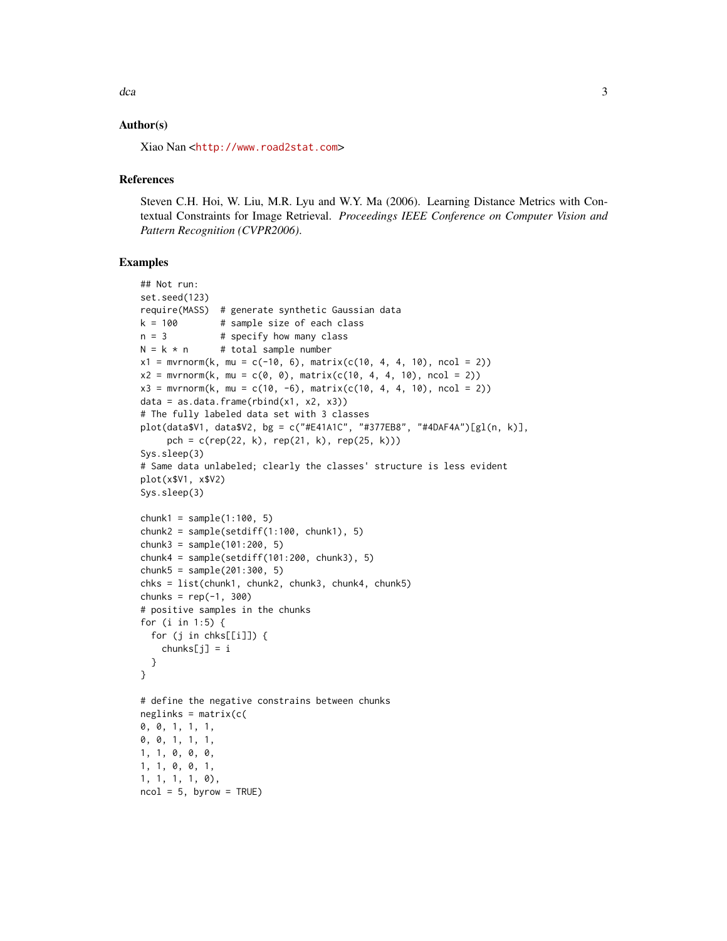$dca$  3

#### Author(s)

Xiao Nan <<http://www.road2stat.com>>

#### **References**

Steven C.H. Hoi, W. Liu, M.R. Lyu and W.Y. Ma (2006). Learning Distance Metrics with Contextual Constraints for Image Retrieval. *Proceedings IEEE Conference on Computer Vision and Pattern Recognition (CVPR2006)*.

```
## Not run:
set.seed(123)
require(MASS) # generate synthetic Gaussian data
k = 100 # sample size of each class
n = 3 # specify how many class
N = k * n # total sample number
x1 = mvrnorm(k, mu = c(-10, 6), matrix(c(10, 4, 4, 10), ncol = 2))x2 = mvrnorm(k, mu = c(0, 0), matrix(c(10, 4, 4, 10), ncol = 2))x3 = mvrnorm(k, mu = c(10, -6), matrix(c(10, 4, 4, 10), ncol = 2))data = as.data.frame(rbind(x1, x2, x3))
# The fully labeled data set with 3 classes
plot(data$V1, data$V2, bg = c("#E41A1C", "#377EB8", "#4DAF4A")[gl(n, k)],
     pch = c(rep(22, k), rep(21, k), rep(25, k))Sys.sleep(3)
# Same data unlabeled; clearly the classes' structure is less evident
plot(x$V1, x$V2)
Sys.sleep(3)
chunk1 = sample(1:100, 5)chunk2 = sample(setdiff(1:100, chunk1), 5)chunk3 = sample(101:200, 5)
chunk4 = sample(setdiff(101:200, chunk3), 5)chunk5 = sample(201:300, 5)chks = list(chunk1, chunk2, chunk3, chunk4, chunk5)
chunks = rep(-1, 300)# positive samples in the chunks
for (i in 1:5) {
 for (j in chks[[i]]) {
    chunks[j] = i}
}
# define the negative constrains between chunks
neglinks = matrix(c()0, 0, 1, 1, 1,
0, 0, 1, 1, 1,
1, 1, 0, 0, 0,
1, 1, 0, 0, 1,
1, 1, 1, 1, 0),
ncol = 5, byrow = TRUE)
```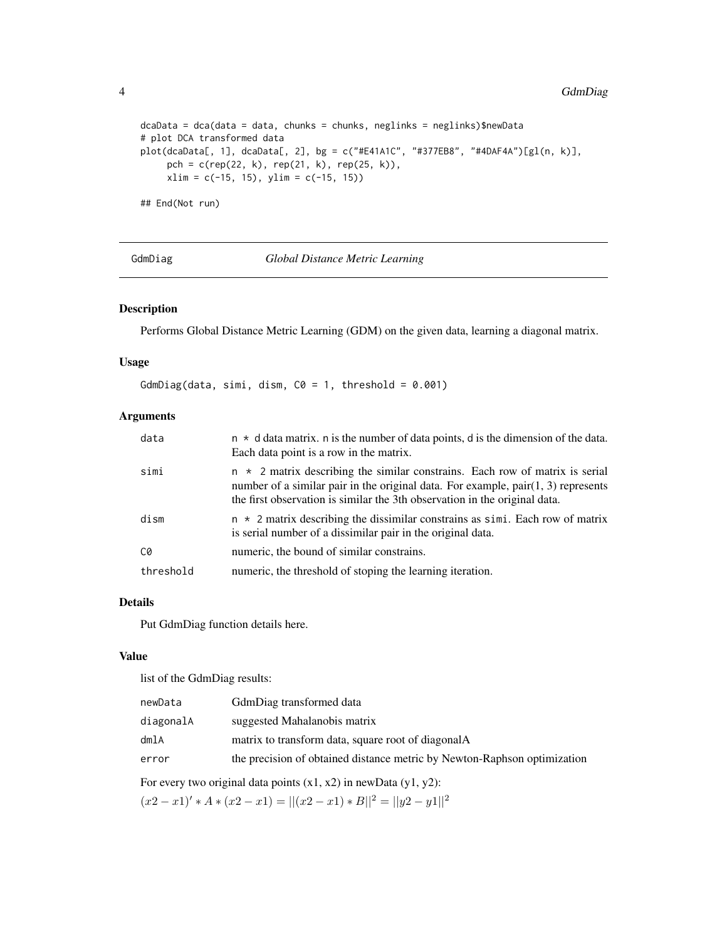```
dcaba = dca(data = data, chunks = chunks, neglinks = neglinks)$newData
# plot DCA transformed data
plot(dcaData[, 1], dcaData[, 2], bg = c("#E41A1C", "#377EB8", "#4DAF4A")[gl(n, k)],
    pch = c(rep(22, k), rep(21, k), rep(25, k)),
    xlim = c(-15, 15), ylim = c(-15, 15))## End(Not run)
```
GdmDiag *Global Distance Metric Learning*

#### Description

Performs Global Distance Metric Learning (GDM) on the given data, learning a diagonal matrix.

#### Usage

```
GdmDiag(data, simi, dism, CO = 1, threshold = 0.001)
```
#### Arguments

| data      | $n * d$ data matrix. n is the number of data points, d is the dimension of the data.<br>Each data point is a row in the matrix.                                                                                                                          |
|-----------|----------------------------------------------------------------------------------------------------------------------------------------------------------------------------------------------------------------------------------------------------------|
| simi      | $n \times 2$ matrix describing the similar constrains. Each row of matrix is serial<br>number of a similar pair in the original data. For example, $pair(1, 3)$ represents<br>the first observation is similar the 3th observation in the original data. |
| dism      | $n \times 2$ matrix describing the dissimilar constrains as simi. Each row of matrix<br>is serial number of a dissimilar pair in the original data.                                                                                                      |
| C0        | numeric, the bound of similar constrains.                                                                                                                                                                                                                |
| threshold | numeric, the threshold of stoping the learning iteration.                                                                                                                                                                                                |

#### Details

Put GdmDiag function details here.

#### Value

list of the GdmDiag results:

| newData   | GdmDiag transformed data                                                 |
|-----------|--------------------------------------------------------------------------|
| diagonalA | suggested Mahalanobis matrix                                             |
| dmlA      | matrix to transform data, square root of diagonalA                       |
| error     | the precision of obtained distance metric by Newton-Raphson optimization |
|           |                                                                          |

For every two original data points  $(x1, x2)$  in newData  $(y1, y2)$ :

 $(x2 - x1)'$  \*  $A * (x2 - x1) = ||(x2 - x1) * B||^2 = ||y2 - y1||^2$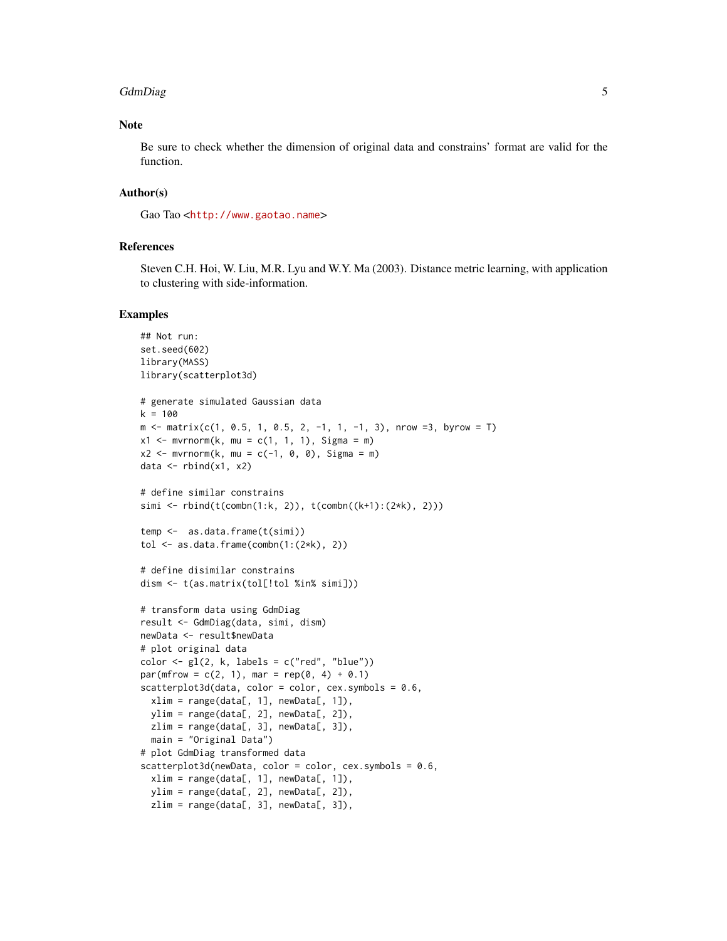#### GdmDiag 5

#### Note

Be sure to check whether the dimension of original data and constrains' format are valid for the function.

#### Author(s)

Gao Tao <<http://www.gaotao.name>>

#### References

Steven C.H. Hoi, W. Liu, M.R. Lyu and W.Y. Ma (2003). Distance metric learning, with application to clustering with side-information.

```
## Not run:
set.seed(602)
library(MASS)
library(scatterplot3d)
# generate simulated Gaussian data
k = 100m \le - matrix(c(1, 0.5, 1, 0.5, 2, -1, 1, -1, 3), nrow =3, byrow = T)
x1 \le m wrnorm(k, mu = c(1, 1, 1), Sigma = m)
x2 \leq -m \text{wron}(k, mu = c(-1, 0, 0), Sigma = m)
data \leq rbind(x1, x2)
# define similar constrains
simi <- rbind(t(\text{combn}(1:k, 2)), t(\text{combn}((k+1):(2*k), 2)))temp <- as.data.frame(t(simi))
tol \leq as.data.frame(combn(1:(2*k), 2))
# define disimilar constrains
dism <- t(as.matrix(tol[!tol %in% simi]))
# transform data using GdmDiag
result <- GdmDiag(data, simi, dism)
newData <- result$newData
# plot original data
color < -gl(2, k, labels = c("red", "blue"))par(mfrow = c(2, 1), mar = rep(0, 4) + 0.1)scatterplot3d(data, color = color, cex.symbols = 0.6,
  xlim = range(data[, 1], newData[, 1]),
  ylim = range(data[, 2], newData[, 2]),
  zlim = range(data[, 3], newData[, 3]),
  main = "Original Data")
# plot GdmDiag transformed data
scatterplot3d(newData, color = color, cex.symbols = 0.6,
  xlim = range(data[, 1], newData[, 1]),
  ylim = range(data[, 2], newData[, 2]),
  zlim = range(data[, 3], newData[, 3]),
```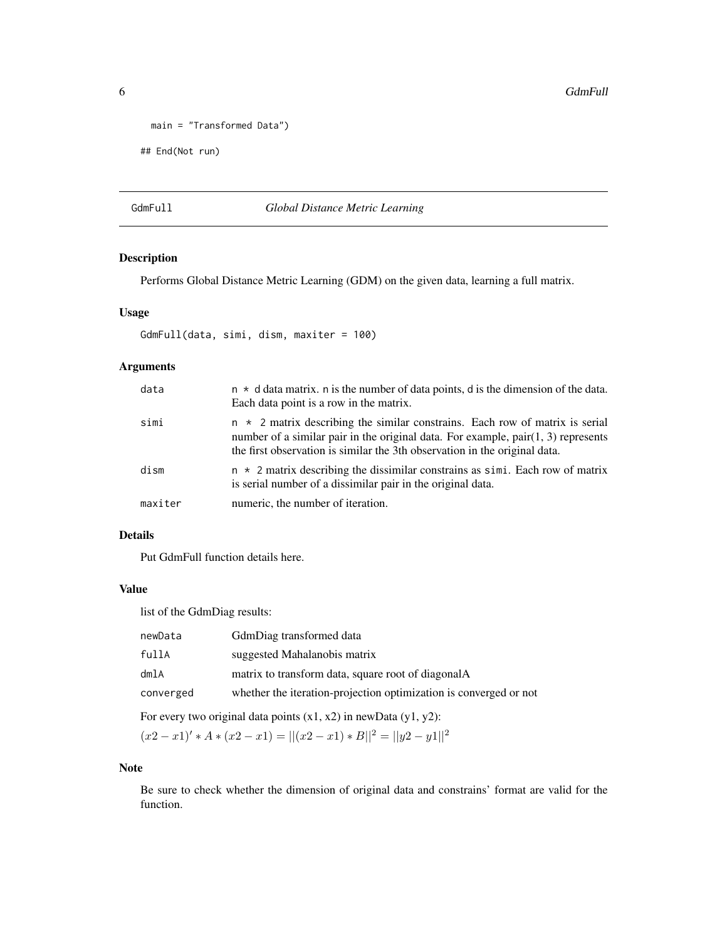```
main = "Transformed Data")
## End(Not run)
```
#### GdmFull *Global Distance Metric Learning*

#### Description

Performs Global Distance Metric Learning (GDM) on the given data, learning a full matrix.

#### Usage

```
GdmFull(data, simi, dism, maxiter = 100)
```
#### Arguments

| data    | $n \times d$ data matrix. n is the number of data points, d is the dimension of the data.<br>Each data point is a row in the matrix.                                                                                                                     |
|---------|----------------------------------------------------------------------------------------------------------------------------------------------------------------------------------------------------------------------------------------------------------|
| simi    | $n \times 2$ matrix describing the similar constrains. Each row of matrix is serial<br>number of a similar pair in the original data. For example, $pair(1, 3)$ represents<br>the first observation is similar the 3th observation in the original data. |
| dism    | $n \times 2$ matrix describing the dissimilar constrains as simi. Each row of matrix<br>is serial number of a dissimilar pair in the original data.                                                                                                      |
| maxiter | numeric, the number of iteration.                                                                                                                                                                                                                        |

### Details

Put GdmFull function details here.

#### Value

list of the GdmDiag results:

| newData   | GdmDiag transformed data                                          |
|-----------|-------------------------------------------------------------------|
| fullA     | suggested Mahalanobis matrix                                      |
| dmlA      | matrix to transform data, square root of diagonalA                |
| converged | whether the iteration-projection optimization is converged or not |
|           |                                                                   |

For every two original data points  $(x1, x2)$  in newData  $(y1, y2)$ :

 $(x2 - x1)' * A * (x2 - x1) = ||(x2 - x1) * B||^2 = ||y2 - y1||^2$ 

#### Note

Be sure to check whether the dimension of original data and constrains' format are valid for the function.

<span id="page-5-0"></span>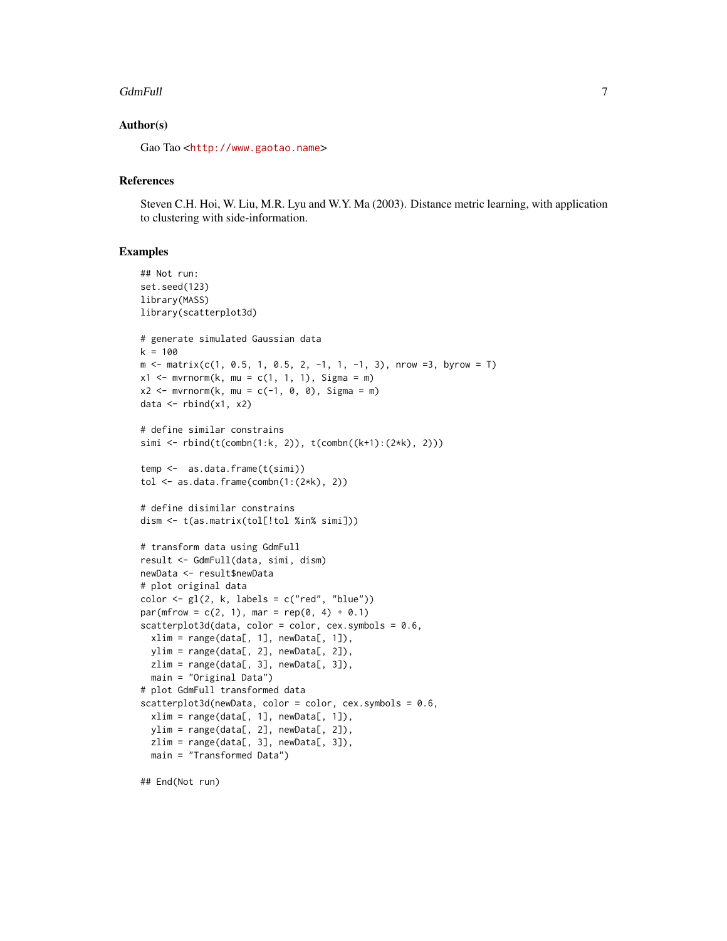#### GdmFull 7

#### Author(s)

Gao Tao <<http://www.gaotao.name>>

#### References

Steven C.H. Hoi, W. Liu, M.R. Lyu and W.Y. Ma (2003). Distance metric learning, with application to clustering with side-information.

```
## Not run:
set.seed(123)
library(MASS)
library(scatterplot3d)
# generate simulated Gaussian data
k = 100m \le - matrix(c(1, 0.5, 1, 0.5, 2, -1, 1, -1, 3), nrow =3, byrow = T)
x1 \le m wrnorm(k, mu = c(1, 1, 1), Sigma = m)
x2 \le - mvrnorm(k, mu = c(-1, 0, 0), Sigma = m)
data \leftarrow rbind(x1, x2)
# define similar constrains
simi <- rbind(t(combn(1:k, 2)), t(combn((k+1):(2*k), 2)))
temp <- as.data.frame(t(simi))
tol \leq as.data.frame(combn(1:(2*k), 2))
# define disimilar constrains
dism <- t(as.matrix(tol[!tol %in% simi]))
# transform data using GdmFull
result <- GdmFull(data, simi, dism)
newData <- result$newData
# plot original data
color < -gl(2, k, labels = c("red", "blue"))par(mfrow = c(2, 1), mar = rep(0, 4) + 0.1)scattering10t3d(data, color = color, cex.symbols = 0.6,xlim = range(data[, 1], newData[, 1]),ylim = range(data[, 2], newData[, 2]),
  zlim = range(data[, 3], newData[, 3]),
  main = "Original Data")
# plot GdmFull transformed data
scatterplot3d(newData, color = color, cex.symbols = 0.6,
  xlim = range(data[, 1], newData[, 1]),
  ylim = range(data[, 2], newData[, 2]),
  zlim = range(data[, 3], newData[, 3]),main = "Transformed Data")
```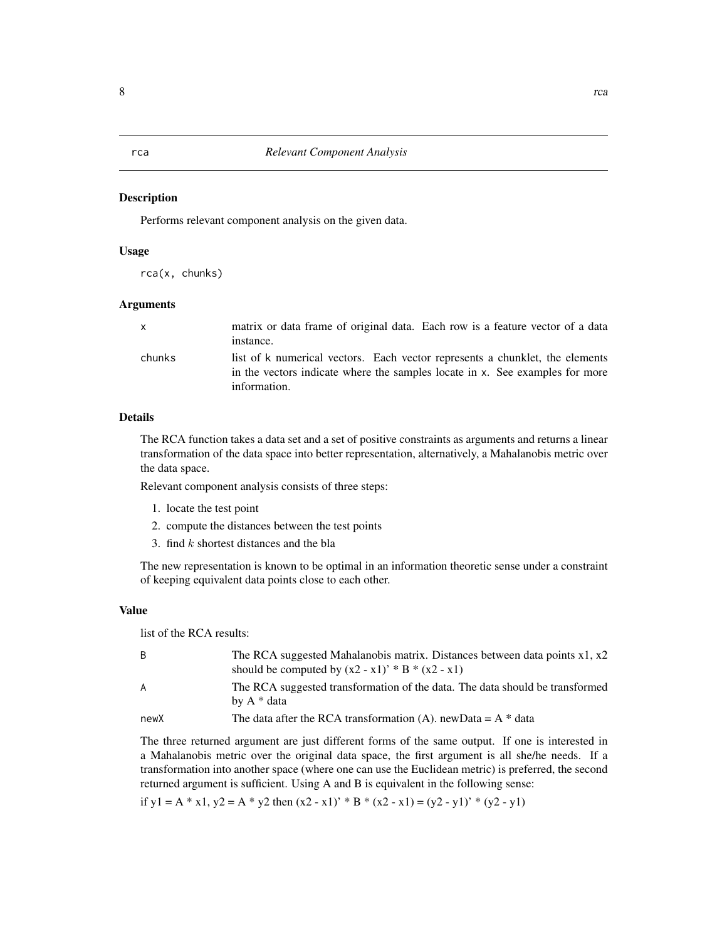#### <span id="page-7-0"></span>Description

Performs relevant component analysis on the given data.

#### Usage

rca(x, chunks)

#### Arguments

| x.     | matrix or data frame of original data. Each row is a feature vector of a data<br>instance.                                                                                   |
|--------|------------------------------------------------------------------------------------------------------------------------------------------------------------------------------|
| chunks | list of k numerical vectors. Each vector represents a chunklet, the elements<br>in the vectors indicate where the samples locate in x. See examples for more<br>information. |

#### Details

The RCA function takes a data set and a set of positive constraints as arguments and returns a linear transformation of the data space into better representation, alternatively, a Mahalanobis metric over the data space.

Relevant component analysis consists of three steps:

- 1. locate the test point
- 2. compute the distances between the test points
- 3. find k shortest distances and the bla

The new representation is known to be optimal in an information theoretic sense under a constraint of keeping equivalent data points close to each other.

#### Value

list of the RCA results:

| B    | The RCA suggested Mahalanobis matrix. Distances between data points $x1, x2$<br>should be computed by $(x2 - x1)^*$ * B * $(x2 - x1)$ |
|------|---------------------------------------------------------------------------------------------------------------------------------------|
| A    | The RCA suggested transformation of the data. The data should be transformed<br>by A * data                                           |
| newX | The data after the RCA transformation (A). newData = $A^*$ data                                                                       |

The three returned argument are just different forms of the same output. If one is interested in a Mahalanobis metric over the original data space, the first argument is all she/he needs. If a transformation into another space (where one can use the Euclidean metric) is preferred, the second returned argument is sufficient. Using A and B is equivalent in the following sense:

if  $y1 = A * x1$ ,  $y2 = A * y2$  then  $(x2 - x1)' * B * (x2 - x1) = (y2 - y1)' * (y2 - y1)$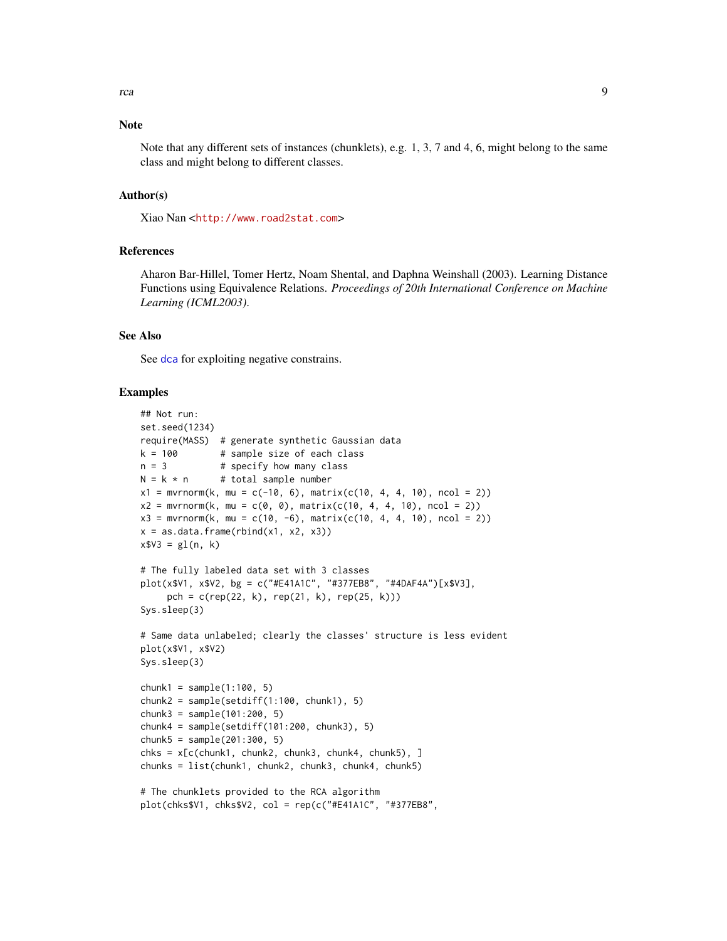#### <span id="page-8-0"></span>**Note**

Note that any different sets of instances (chunklets), e.g. 1, 3, 7 and 4, 6, might belong to the same class and might belong to different classes.

#### Author(s)

Xiao Nan <<http://www.road2stat.com>>

#### References

Aharon Bar-Hillel, Tomer Hertz, Noam Shental, and Daphna Weinshall (2003). Learning Distance Functions using Equivalence Relations. *Proceedings of 20th International Conference on Machine Learning (ICML2003)*.

#### See Also

See [dca](#page-1-1) for exploiting negative constrains.

```
## Not run:
set.seed(1234)
require(MASS) # generate synthetic Gaussian data
k = 100 # sample size of each class
n = 3 # specify how many class
N = k * n # total sample number
x1 = mvrnorm(k, mu = c(-10, 6), matrix(c(10, 4, 4, 10), ncol = 2))x2 = mvrnorm(k, mu = c(0, 0), matrix(c(10, 4, 4, 10), ncol = 2))x3 = mvrnorm(k, mu = c(10, -6), matrix(c(10, 4, 4, 10), ncol = 2))x = as.data frame(rbind(x1, x2, x3))x$V3 = gl(n, k)# The fully labeled data set with 3 classes
plot(x$V1, x$V2, bg = c("#E41A1C", "#377EB8", "#4DAF4A")[x$V3],
     pch = c(rep(22, k), rep(21, k), rep(25, k)))Sys.sleep(3)
# Same data unlabeled; clearly the classes' structure is less evident
plot(x$V1, x$V2)
Sys.sleep(3)
chunk1 = sample(1:100, 5)chunk2 = sample(setdiff(1:100, chunk1), 5)chunk3 = sample(101:200, 5)chunk4 = sample(setdiff(101:200, chunk3), 5)chunk5 = sample(201:300, 5)chks = x[c(chunk1, chunk2, chunk3, chunk4, chunk5), ]chunks = list(chunk1, chunk2, chunk3, chunk4, chunk5)
# The chunklets provided to the RCA algorithm
plot(chks$V1, chks$V2, col = rep(c("#E41A1C", "#377EB8",
```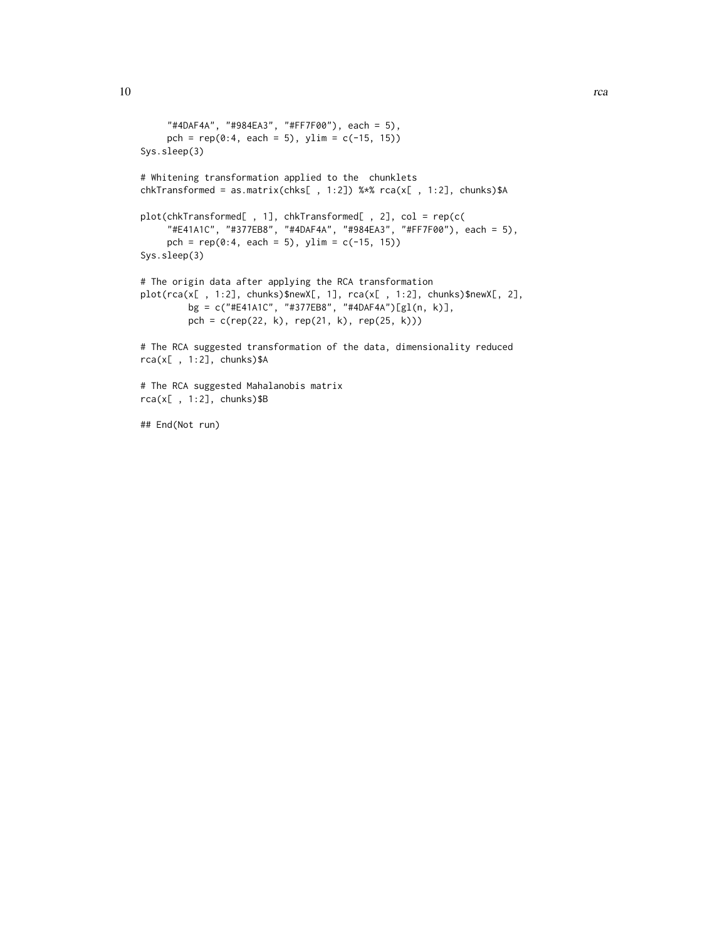```
"#4DAF4A", "#984EA3", "#FF7F00"), each = 5),
     pch = rep(0:4, each = 5), ylim = c(-15, 15)Sys.sleep(3)
# Whitening transformation applied to the chunklets
chkTransformed = as.matrix(chks[ , 1:2]) %*% rca(x[ , 1:2], chunks)$A
plot(chkTransformed[ , 1], chkTransformed[ , 2], col = rep(c(
     "#E41A1C", "#377EB8", "#4DAF4A", "#984EA3", "#FF7F00"), each = 5),
     pch = rep(0:4, each = 5), ylim = c(-15, 15))Sys.sleep(3)
# The origin data after applying the RCA transformation
plot(rca(x[ , 1:2], chunks)$newX[, 1], rca(x[ , 1:2], chunks)$newX[, 2],
        bg = c("#E41A1C", "#377EB8", "#4DAF4A")[gl(n, k)],
        pch = c(rep(22, k), rep(21, k), rep(25, k)))
# The RCA suggested transformation of the data, dimensionality reduced
rca(x[ , 1:2], chunks)$A
# The RCA suggested Mahalanobis matrix
rca(x[, 1:2], chunks)$B
```
## End(Not run)